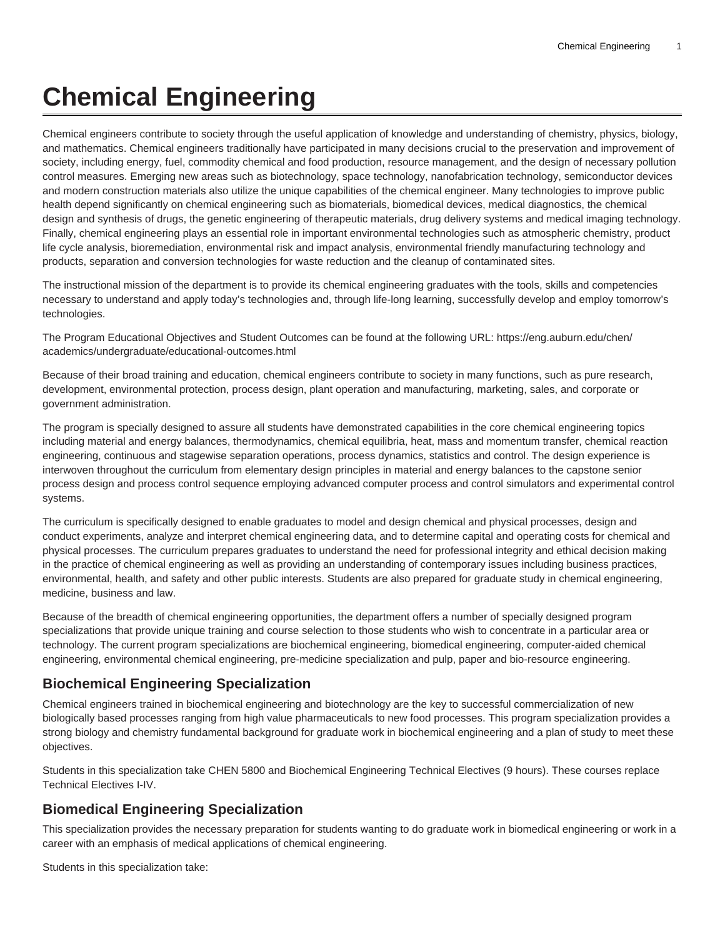# **Chemical Engineering**

Chemical engineers contribute to society through the useful application of knowledge and understanding of chemistry, physics, biology, and mathematics. Chemical engineers traditionally have participated in many decisions crucial to the preservation and improvement of society, including energy, fuel, commodity chemical and food production, resource management, and the design of necessary pollution control measures. Emerging new areas such as biotechnology, space technology, nanofabrication technology, semiconductor devices and modern construction materials also utilize the unique capabilities of the chemical engineer. Many technologies to improve public health depend significantly on chemical engineering such as biomaterials, biomedical devices, medical diagnostics, the chemical design and synthesis of drugs, the genetic engineering of therapeutic materials, drug delivery systems and medical imaging technology. Finally, chemical engineering plays an essential role in important environmental technologies such as atmospheric chemistry, product life cycle analysis, bioremediation, environmental risk and impact analysis, environmental friendly manufacturing technology and products, separation and conversion technologies for waste reduction and the cleanup of contaminated sites.

The instructional mission of the department is to provide its chemical engineering graduates with the tools, skills and competencies necessary to understand and apply today's technologies and, through life-long learning, successfully develop and employ tomorrow's technologies.

The Program Educational Objectives and Student Outcomes can be found at the following URL: [https://eng.auburn.edu/chen/](https://eng.auburn.edu/chen/academics/undergraduate/educational-outcomes.html) [academics/undergraduate/educational-outcomes.html](https://eng.auburn.edu/chen/academics/undergraduate/educational-outcomes.html)

Because of their broad training and education, chemical engineers contribute to society in many functions, such as pure research, development, environmental protection, process design, plant operation and manufacturing, marketing, sales, and corporate or government administration.

The program is specially designed to assure all students have demonstrated capabilities in the core chemical engineering topics including material and energy balances, thermodynamics, chemical equilibria, heat, mass and momentum transfer, chemical reaction engineering, continuous and stagewise separation operations, process dynamics, statistics and control. The design experience is interwoven throughout the curriculum from elementary design principles in material and energy balances to the capstone senior process design and process control sequence employing advanced computer process and control simulators and experimental control systems.

The curriculum is specifically designed to enable graduates to model and design chemical and physical processes, design and conduct experiments, analyze and interpret chemical engineering data, and to determine capital and operating costs for chemical and physical processes. The curriculum prepares graduates to understand the need for professional integrity and ethical decision making in the practice of chemical engineering as well as providing an understanding of contemporary issues including business practices, environmental, health, and safety and other public interests. Students are also prepared for graduate study in chemical engineering, medicine, business and law.

Because of the breadth of chemical engineering opportunities, the department offers a number of specially designed program specializations that provide unique training and course selection to those students who wish to concentrate in a particular area or technology. The current program specializations are biochemical engineering, biomedical engineering, computer-aided chemical engineering, environmental chemical engineering, pre-medicine specialization and pulp, paper and bio-resource engineering.

#### **Biochemical Engineering Specialization**

Chemical engineers trained in biochemical engineering and biotechnology are the key to successful commercialization of new biologically based processes ranging from high value pharmaceuticals to new food processes. This program specialization provides a strong biology and chemistry fundamental background for graduate work in biochemical engineering and a plan of study to meet these objectives.

Students in this specialization take CHEN 5800 and Biochemical Engineering Technical Electives (9 hours). These courses replace Technical Electives I-IV.

#### **Biomedical Engineering Specialization**

This specialization provides the necessary preparation for students wanting to do graduate work in biomedical engineering or work in a career with an emphasis of medical applications of chemical engineering.

Students in this specialization take: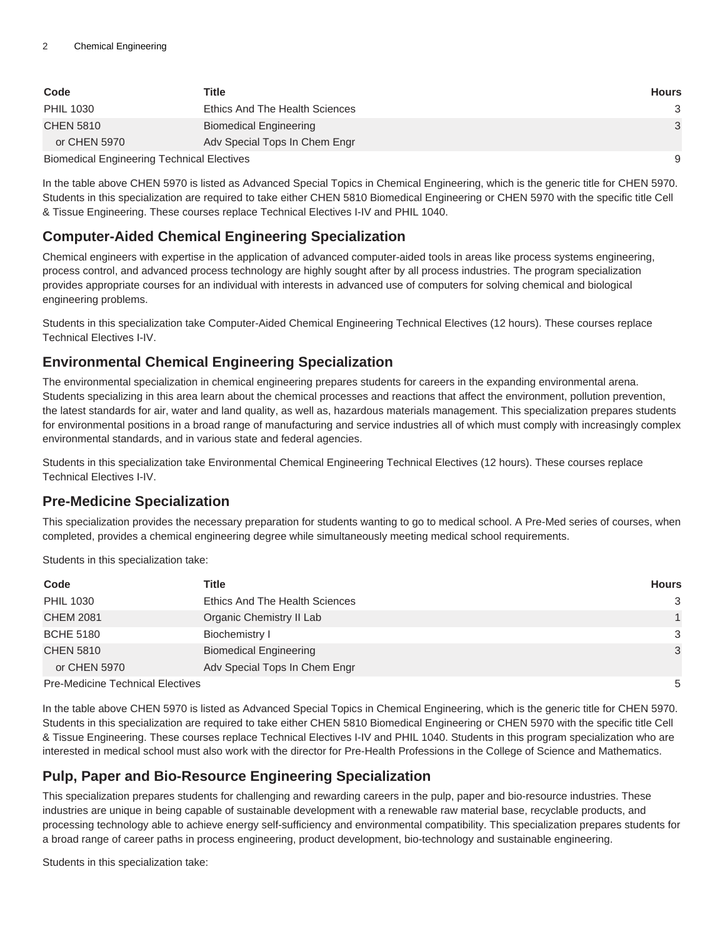| Code                                              | Title                          | <b>Hours</b> |
|---------------------------------------------------|--------------------------------|--------------|
| <b>PHIL 1030</b>                                  | Ethics And The Health Sciences | 3            |
| <b>CHEN 5810</b>                                  | <b>Biomedical Engineering</b>  | 3            |
| or CHEN 5970                                      | Adv Special Tops In Chem Engr  |              |
| <b>Biomedical Engineering Technical Electives</b> |                                | 9            |

In the table above CHEN 5970 is listed as Advanced Special Topics in Chemical Engineering, which is the generic title for CHEN 5970. Students in this specialization are required to take either CHEN 5810 Biomedical Engineering or CHEN 5970 with the specific title Cell & Tissue Engineering. These courses replace Technical Electives I-IV and PHIL 1040.

## **Computer-Aided Chemical Engineering Specialization**

Chemical engineers with expertise in the application of advanced computer-aided tools in areas like process systems engineering, process control, and advanced process technology are highly sought after by all process industries. The program specialization provides appropriate courses for an individual with interests in advanced use of computers for solving chemical and biological engineering problems.

Students in this specialization take Computer-Aided Chemical Engineering Technical Electives (12 hours). These courses replace Technical Electives I-IV.

# **Environmental Chemical Engineering Specialization**

The environmental specialization in chemical engineering prepares students for careers in the expanding environmental arena. Students specializing in this area learn about the chemical processes and reactions that affect the environment, pollution prevention, the latest standards for air, water and land quality, as well as, hazardous materials management. This specialization prepares students for environmental positions in a broad range of manufacturing and service industries all of which must comply with increasingly complex environmental standards, and in various state and federal agencies.

Students in this specialization take Environmental Chemical Engineering Technical Electives (12 hours). These courses replace Technical Electives I-IV.

## **Pre-Medicine Specialization**

This specialization provides the necessary preparation for students wanting to go to medical school. A Pre-Med series of courses, when completed, provides a chemical engineering degree while simultaneously meeting medical school requirements.

Students in this specialization take:

| Code                                    | <b>Title</b>                          | <b>Hours</b>  |
|-----------------------------------------|---------------------------------------|---------------|
| <b>PHIL 1030</b>                        | <b>Ethics And The Health Sciences</b> | 3             |
| <b>CHEM 2081</b>                        | Organic Chemistry II Lab              |               |
| <b>BCHE 5180</b>                        | Biochemistry I                        | $\mathcal{S}$ |
| <b>CHEN 5810</b>                        | <b>Biomedical Engineering</b>         | 3             |
| or CHEN 5970                            | Adv Special Tops In Chem Engr         |               |
| <b>Pre-Medicine Technical Electives</b> |                                       | 5             |

In the table above CHEN 5970 is listed as Advanced Special Topics in Chemical Engineering, which is the generic title for CHEN 5970. Students in this specialization are required to take either CHEN 5810 Biomedical Engineering or CHEN 5970 with the specific title Cell & Tissue Engineering. These courses replace Technical Electives I-IV and PHIL 1040. Students in this program specialization who are interested in medical school must also work with the director for Pre-Health Professions in the College of Science and Mathematics.

## **Pulp, Paper and Bio-Resource Engineering Specialization**

This specialization prepares students for challenging and rewarding careers in the pulp, paper and bio-resource industries. These industries are unique in being capable of sustainable development with a renewable raw material base, recyclable products, and processing technology able to achieve energy self-sufficiency and environmental compatibility. This specialization prepares students for a broad range of career paths in process engineering, product development, bio-technology and sustainable engineering.

Students in this specialization take: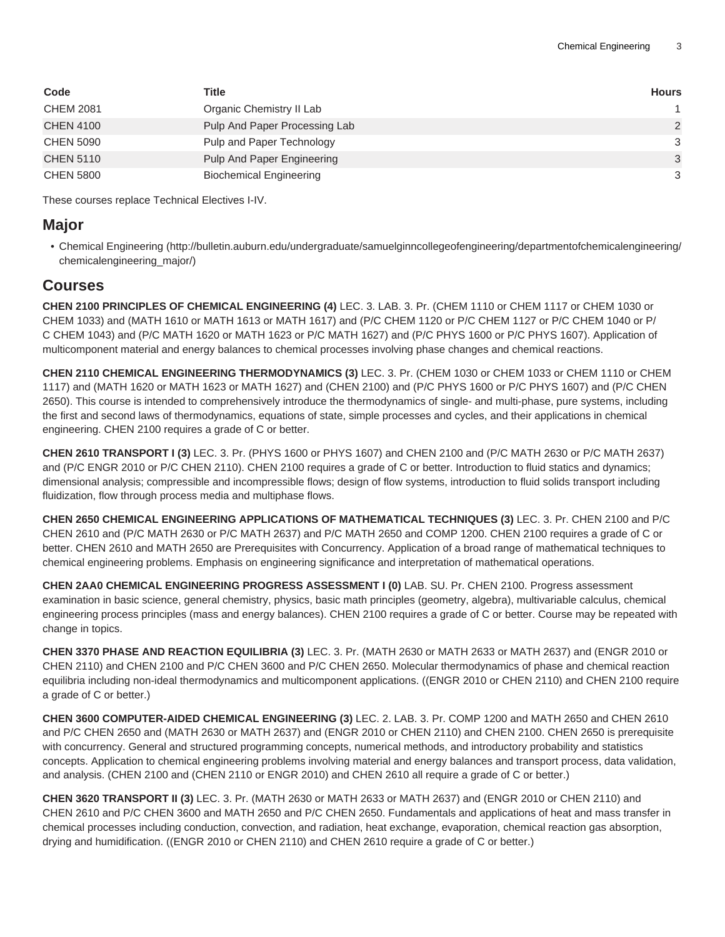| Code             | Title                          | <b>Hours</b> |
|------------------|--------------------------------|--------------|
| <b>CHEM 2081</b> | Organic Chemistry II Lab       |              |
| <b>CHEN 4100</b> | Pulp And Paper Processing Lab  | 2            |
| <b>CHEN 5090</b> | Pulp and Paper Technology      | 3            |
| <b>CHEN 5110</b> | Pulp And Paper Engineering     | 3            |
| <b>CHEN 5800</b> | <b>Biochemical Engineering</b> | 3            |

These courses replace Technical Electives I-IV.

#### **Major**

• [Chemical Engineering](http://bulletin.auburn.edu/undergraduate/samuelginncollegeofengineering/departmentofchemicalengineering/chemicalengineering_major/) ([http://bulletin.auburn.edu/undergraduate/samuelginncollegeofengineering/departmentofchemicalengineering/](http://bulletin.auburn.edu/undergraduate/samuelginncollegeofengineering/departmentofchemicalengineering/chemicalengineering_major/) [chemicalengineering\\_major/\)](http://bulletin.auburn.edu/undergraduate/samuelginncollegeofengineering/departmentofchemicalengineering/chemicalengineering_major/)

#### **Courses**

**CHEN 2100 PRINCIPLES OF CHEMICAL ENGINEERING (4)** LEC. 3. LAB. 3. Pr. (CHEM 1110 or CHEM 1117 or CHEM 1030 or CHEM 1033) and (MATH 1610 or MATH 1613 or MATH 1617) and (P/C CHEM 1120 or P/C CHEM 1127 or P/C CHEM 1040 or P/ C CHEM 1043) and (P/C MATH 1620 or MATH 1623 or P/C MATH 1627) and (P/C PHYS 1600 or P/C PHYS 1607). Application of multicomponent material and energy balances to chemical processes involving phase changes and chemical reactions.

**CHEN 2110 CHEMICAL ENGINEERING THERMODYNAMICS (3)** LEC. 3. Pr. (CHEM 1030 or CHEM 1033 or CHEM 1110 or CHEM 1117) and (MATH 1620 or MATH 1623 or MATH 1627) and (CHEN 2100) and (P/C PHYS 1600 or P/C PHYS 1607) and (P/C CHEN 2650). This course is intended to comprehensively introduce the thermodynamics of single- and multi-phase, pure systems, including the first and second laws of thermodynamics, equations of state, simple processes and cycles, and their applications in chemical engineering. CHEN 2100 requires a grade of C or better.

**CHEN 2610 TRANSPORT I (3)** LEC. 3. Pr. (PHYS 1600 or PHYS 1607) and CHEN 2100 and (P/C MATH 2630 or P/C MATH 2637) and (P/C ENGR 2010 or P/C CHEN 2110). CHEN 2100 requires a grade of C or better. Introduction to fluid statics and dynamics; dimensional analysis; compressible and incompressible flows; design of flow systems, introduction to fluid solids transport including fluidization, flow through process media and multiphase flows.

**CHEN 2650 CHEMICAL ENGINEERING APPLICATIONS OF MATHEMATICAL TECHNIQUES (3)** LEC. 3. Pr. CHEN 2100 and P/C CHEN 2610 and (P/C MATH 2630 or P/C MATH 2637) and P/C MATH 2650 and COMP 1200. CHEN 2100 requires a grade of C or better. CHEN 2610 and MATH 2650 are Prerequisites with Concurrency. Application of a broad range of mathematical techniques to chemical engineering problems. Emphasis on engineering significance and interpretation of mathematical operations.

**CHEN 2AA0 CHEMICAL ENGINEERING PROGRESS ASSESSMENT I (0)** LAB. SU. Pr. CHEN 2100. Progress assessment examination in basic science, general chemistry, physics, basic math principles (geometry, algebra), multivariable calculus, chemical engineering process principles (mass and energy balances). CHEN 2100 requires a grade of C or better. Course may be repeated with change in topics.

**CHEN 3370 PHASE AND REACTION EQUILIBRIA (3)** LEC. 3. Pr. (MATH 2630 or MATH 2633 or MATH 2637) and (ENGR 2010 or CHEN 2110) and CHEN 2100 and P/C CHEN 3600 and P/C CHEN 2650. Molecular thermodynamics of phase and chemical reaction equilibria including non-ideal thermodynamics and multicomponent applications. ((ENGR 2010 or CHEN 2110) and CHEN 2100 require a grade of C or better.)

**CHEN 3600 COMPUTER-AIDED CHEMICAL ENGINEERING (3)** LEC. 2. LAB. 3. Pr. COMP 1200 and MATH 2650 and CHEN 2610 and P/C CHEN 2650 and (MATH 2630 or MATH 2637) and (ENGR 2010 or CHEN 2110) and CHEN 2100. CHEN 2650 is prerequisite with concurrency. General and structured programming concepts, numerical methods, and introductory probability and statistics concepts. Application to chemical engineering problems involving material and energy balances and transport process, data validation, and analysis. (CHEN 2100 and (CHEN 2110 or ENGR 2010) and CHEN 2610 all require a grade of C or better.)

**CHEN 3620 TRANSPORT II (3)** LEC. 3. Pr. (MATH 2630 or MATH 2633 or MATH 2637) and (ENGR 2010 or CHEN 2110) and CHEN 2610 and P/C CHEN 3600 and MATH 2650 and P/C CHEN 2650. Fundamentals and applications of heat and mass transfer in chemical processes including conduction, convection, and radiation, heat exchange, evaporation, chemical reaction gas absorption, drying and humidification. ((ENGR 2010 or CHEN 2110) and CHEN 2610 require a grade of C or better.)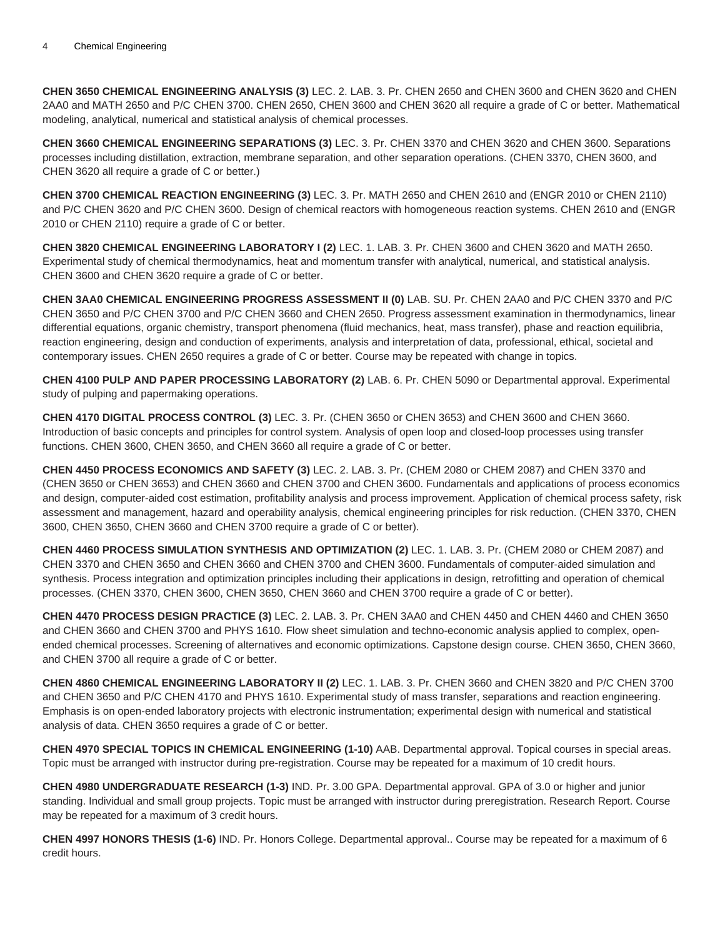**CHEN 3650 CHEMICAL ENGINEERING ANALYSIS (3)** LEC. 2. LAB. 3. Pr. CHEN 2650 and CHEN 3600 and CHEN 3620 and CHEN 2AA0 and MATH 2650 and P/C CHEN 3700. CHEN 2650, CHEN 3600 and CHEN 3620 all require a grade of C or better. Mathematical modeling, analytical, numerical and statistical analysis of chemical processes.

**CHEN 3660 CHEMICAL ENGINEERING SEPARATIONS (3)** LEC. 3. Pr. CHEN 3370 and CHEN 3620 and CHEN 3600. Separations processes including distillation, extraction, membrane separation, and other separation operations. (CHEN 3370, CHEN 3600, and CHEN 3620 all require a grade of C or better.)

**CHEN 3700 CHEMICAL REACTION ENGINEERING (3)** LEC. 3. Pr. MATH 2650 and CHEN 2610 and (ENGR 2010 or CHEN 2110) and P/C CHEN 3620 and P/C CHEN 3600. Design of chemical reactors with homogeneous reaction systems. CHEN 2610 and (ENGR 2010 or CHEN 2110) require a grade of C or better.

**CHEN 3820 CHEMICAL ENGINEERING LABORATORY I (2)** LEC. 1. LAB. 3. Pr. CHEN 3600 and CHEN 3620 and MATH 2650. Experimental study of chemical thermodynamics, heat and momentum transfer with analytical, numerical, and statistical analysis. CHEN 3600 and CHEN 3620 require a grade of C or better.

**CHEN 3AA0 CHEMICAL ENGINEERING PROGRESS ASSESSMENT II (0)** LAB. SU. Pr. CHEN 2AA0 and P/C CHEN 3370 and P/C CHEN 3650 and P/C CHEN 3700 and P/C CHEN 3660 and CHEN 2650. Progress assessment examination in thermodynamics, linear differential equations, organic chemistry, transport phenomena (fluid mechanics, heat, mass transfer), phase and reaction equilibria, reaction engineering, design and conduction of experiments, analysis and interpretation of data, professional, ethical, societal and contemporary issues. CHEN 2650 requires a grade of C or better. Course may be repeated with change in topics.

**CHEN 4100 PULP AND PAPER PROCESSING LABORATORY (2)** LAB. 6. Pr. CHEN 5090 or Departmental approval. Experimental study of pulping and papermaking operations.

**CHEN 4170 DIGITAL PROCESS CONTROL (3)** LEC. 3. Pr. (CHEN 3650 or CHEN 3653) and CHEN 3600 and CHEN 3660. Introduction of basic concepts and principles for control system. Analysis of open loop and closed-loop processes using transfer functions. CHEN 3600, CHEN 3650, and CHEN 3660 all require a grade of C or better.

**CHEN 4450 PROCESS ECONOMICS AND SAFETY (3)** LEC. 2. LAB. 3. Pr. (CHEM 2080 or CHEM 2087) and CHEN 3370 and (CHEN 3650 or CHEN 3653) and CHEN 3660 and CHEN 3700 and CHEN 3600. Fundamentals and applications of process economics and design, computer-aided cost estimation, profitability analysis and process improvement. Application of chemical process safety, risk assessment and management, hazard and operability analysis, chemical engineering principles for risk reduction. (CHEN 3370, CHEN 3600, CHEN 3650, CHEN 3660 and CHEN 3700 require a grade of C or better).

**CHEN 4460 PROCESS SIMULATION SYNTHESIS AND OPTIMIZATION (2)** LEC. 1. LAB. 3. Pr. (CHEM 2080 or CHEM 2087) and CHEN 3370 and CHEN 3650 and CHEN 3660 and CHEN 3700 and CHEN 3600. Fundamentals of computer-aided simulation and synthesis. Process integration and optimization principles including their applications in design, retrofitting and operation of chemical processes. (CHEN 3370, CHEN 3600, CHEN 3650, CHEN 3660 and CHEN 3700 require a grade of C or better).

**CHEN 4470 PROCESS DESIGN PRACTICE (3)** LEC. 2. LAB. 3. Pr. CHEN 3AA0 and CHEN 4450 and CHEN 4460 and CHEN 3650 and CHEN 3660 and CHEN 3700 and PHYS 1610. Flow sheet simulation and techno-economic analysis applied to complex, openended chemical processes. Screening of alternatives and economic optimizations. Capstone design course. CHEN 3650, CHEN 3660, and CHEN 3700 all require a grade of C or better.

**CHEN 4860 CHEMICAL ENGINEERING LABORATORY II (2)** LEC. 1. LAB. 3. Pr. CHEN 3660 and CHEN 3820 and P/C CHEN 3700 and CHEN 3650 and P/C CHEN 4170 and PHYS 1610. Experimental study of mass transfer, separations and reaction engineering. Emphasis is on open-ended laboratory projects with electronic instrumentation; experimental design with numerical and statistical analysis of data. CHEN 3650 requires a grade of C or better.

**CHEN 4970 SPECIAL TOPICS IN CHEMICAL ENGINEERING (1-10)** AAB. Departmental approval. Topical courses in special areas. Topic must be arranged with instructor during pre-registration. Course may be repeated for a maximum of 10 credit hours.

**CHEN 4980 UNDERGRADUATE RESEARCH (1-3)** IND. Pr. 3.00 GPA. Departmental approval. GPA of 3.0 or higher and junior standing. Individual and small group projects. Topic must be arranged with instructor during preregistration. Research Report. Course may be repeated for a maximum of 3 credit hours.

**CHEN 4997 HONORS THESIS (1-6)** IND. Pr. Honors College. Departmental approval.. Course may be repeated for a maximum of 6 credit hours.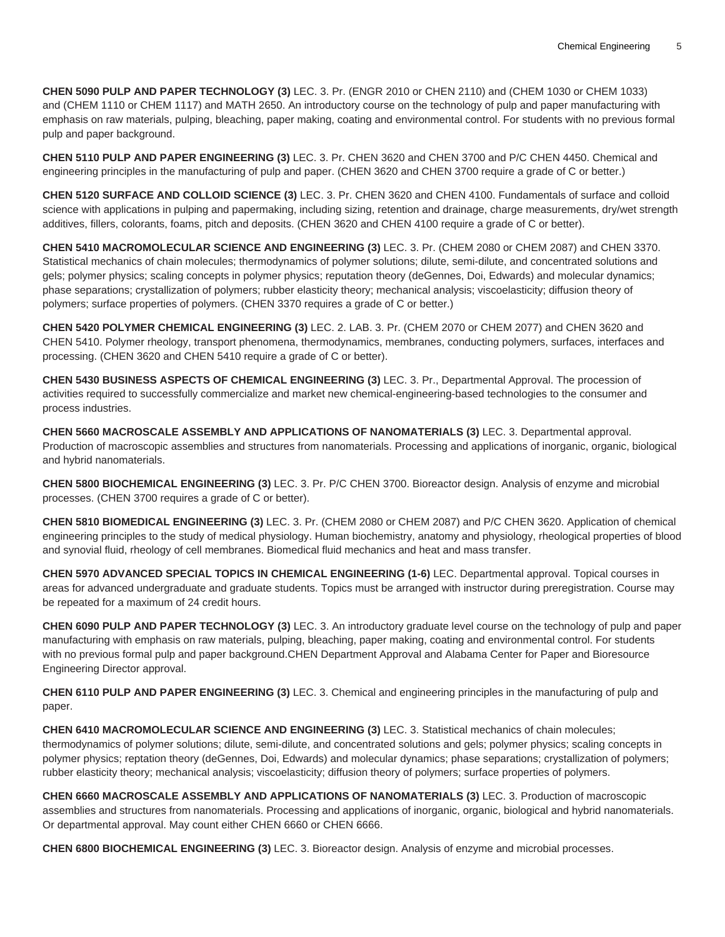**CHEN 5090 PULP AND PAPER TECHNOLOGY (3)** LEC. 3. Pr. (ENGR 2010 or CHEN 2110) and (CHEM 1030 or CHEM 1033) and (CHEM 1110 or CHEM 1117) and MATH 2650. An introductory course on the technology of pulp and paper manufacturing with emphasis on raw materials, pulping, bleaching, paper making, coating and environmental control. For students with no previous formal pulp and paper background.

**CHEN 5110 PULP AND PAPER ENGINEERING (3)** LEC. 3. Pr. CHEN 3620 and CHEN 3700 and P/C CHEN 4450. Chemical and engineering principles in the manufacturing of pulp and paper. (CHEN 3620 and CHEN 3700 require a grade of C or better.)

**CHEN 5120 SURFACE AND COLLOID SCIENCE (3)** LEC. 3. Pr. CHEN 3620 and CHEN 4100. Fundamentals of surface and colloid science with applications in pulping and papermaking, including sizing, retention and drainage, charge measurements, dry/wet strength additives, fillers, colorants, foams, pitch and deposits. (CHEN 3620 and CHEN 4100 require a grade of C or better).

**CHEN 5410 MACROMOLECULAR SCIENCE AND ENGINEERING (3)** LEC. 3. Pr. (CHEM 2080 or CHEM 2087) and CHEN 3370. Statistical mechanics of chain molecules; thermodynamics of polymer solutions; dilute, semi-dilute, and concentrated solutions and gels; polymer physics; scaling concepts in polymer physics; reputation theory (deGennes, Doi, Edwards) and molecular dynamics; phase separations; crystallization of polymers; rubber elasticity theory; mechanical analysis; viscoelasticity; diffusion theory of polymers; surface properties of polymers. (CHEN 3370 requires a grade of C or better.)

**CHEN 5420 POLYMER CHEMICAL ENGINEERING (3)** LEC. 2. LAB. 3. Pr. (CHEM 2070 or CHEM 2077) and CHEN 3620 and CHEN 5410. Polymer rheology, transport phenomena, thermodynamics, membranes, conducting polymers, surfaces, interfaces and processing. (CHEN 3620 and CHEN 5410 require a grade of C or better).

**CHEN 5430 BUSINESS ASPECTS OF CHEMICAL ENGINEERING (3)** LEC. 3. Pr., Departmental Approval. The procession of activities required to successfully commercialize and market new chemical-engineering-based technologies to the consumer and process industries.

**CHEN 5660 MACROSCALE ASSEMBLY AND APPLICATIONS OF NANOMATERIALS (3)** LEC. 3. Departmental approval. Production of macroscopic assemblies and structures from nanomaterials. Processing and applications of inorganic, organic, biological and hybrid nanomaterials.

**CHEN 5800 BIOCHEMICAL ENGINEERING (3)** LEC. 3. Pr. P/C CHEN 3700. Bioreactor design. Analysis of enzyme and microbial processes. (CHEN 3700 requires a grade of C or better).

**CHEN 5810 BIOMEDICAL ENGINEERING (3)** LEC. 3. Pr. (CHEM 2080 or CHEM 2087) and P/C CHEN 3620. Application of chemical engineering principles to the study of medical physiology. Human biochemistry, anatomy and physiology, rheological properties of blood and synovial fluid, rheology of cell membranes. Biomedical fluid mechanics and heat and mass transfer.

**CHEN 5970 ADVANCED SPECIAL TOPICS IN CHEMICAL ENGINEERING (1-6)** LEC. Departmental approval. Topical courses in areas for advanced undergraduate and graduate students. Topics must be arranged with instructor during preregistration. Course may be repeated for a maximum of 24 credit hours.

**CHEN 6090 PULP AND PAPER TECHNOLOGY (3)** LEC. 3. An introductory graduate level course on the technology of pulp and paper manufacturing with emphasis on raw materials, pulping, bleaching, paper making, coating and environmental control. For students with no previous formal pulp and paper background.CHEN Department Approval and Alabama Center for Paper and Bioresource Engineering Director approval.

**CHEN 6110 PULP AND PAPER ENGINEERING (3)** LEC. 3. Chemical and engineering principles in the manufacturing of pulp and paper.

**CHEN 6410 MACROMOLECULAR SCIENCE AND ENGINEERING (3)** LEC. 3. Statistical mechanics of chain molecules; thermodynamics of polymer solutions; dilute, semi-dilute, and concentrated solutions and gels; polymer physics; scaling concepts in polymer physics; reptation theory (deGennes, Doi, Edwards) and molecular dynamics; phase separations; crystallization of polymers; rubber elasticity theory; mechanical analysis; viscoelasticity; diffusion theory of polymers; surface properties of polymers.

**CHEN 6660 MACROSCALE ASSEMBLY AND APPLICATIONS OF NANOMATERIALS (3)** LEC. 3. Production of macroscopic assemblies and structures from nanomaterials. Processing and applications of inorganic, organic, biological and hybrid nanomaterials. Or departmental approval. May count either CHEN 6660 or CHEN 6666.

**CHEN 6800 BIOCHEMICAL ENGINEERING (3)** LEC. 3. Bioreactor design. Analysis of enzyme and microbial processes.